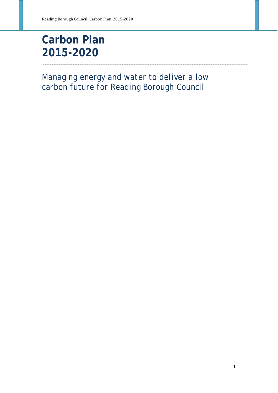# **Carbon Plan 2015-2020**

*Managing energy and water to deliver a low carbon future for Reading Borough Council*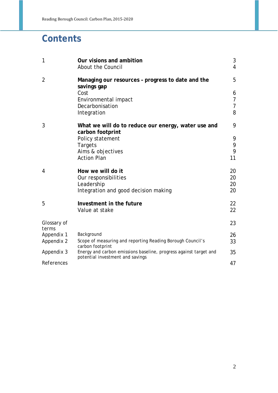## **Contents**

| $\mathbf{1}$         | Our visions and ambition<br>About the Council                                                         | 3<br>$\overline{4}$ |
|----------------------|-------------------------------------------------------------------------------------------------------|---------------------|
| $\overline{2}$       | Managing our resources - progress to date and the<br>savings gap                                      | 5                   |
|                      | Cost                                                                                                  | 6                   |
|                      | Environmental impact                                                                                  | $\overline{7}$      |
|                      | Decarbonisation                                                                                       | $\overline{7}$      |
|                      | Integration                                                                                           | 8                   |
| 3                    | What we will do to reduce our energy, water use and<br>carbon footprint                               | 9                   |
|                      | Policy statement                                                                                      | 9                   |
|                      | <b>Targets</b>                                                                                        | 9                   |
|                      | Aims & objectives                                                                                     | 9                   |
|                      | <b>Action Plan</b>                                                                                    | 11                  |
| 4                    | How we will do it                                                                                     | 20                  |
|                      | Our responsibilities                                                                                  | 20                  |
|                      | Leadership                                                                                            | 20                  |
|                      | Integration and good decision making                                                                  | 20                  |
| 5                    | Investment in the future                                                                              | 22                  |
|                      | Value at stake                                                                                        | 22                  |
| Glossary of<br>terms |                                                                                                       | 23                  |
| Appendix 1           | Background                                                                                            | 26                  |
| Appendix 2           | Scope of measuring and reporting Reading Borough Council's<br>carbon footprint                        | 33                  |
| Appendix 3           | Energy and carbon emissions baseline, progress against target and<br>potential investment and savings | 35                  |
| References           |                                                                                                       | 47                  |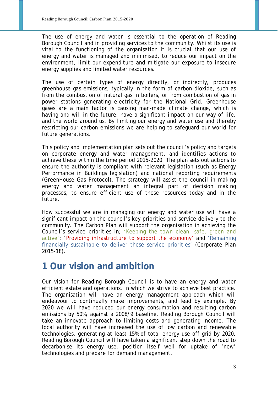The use of energy and water is essential to the operation of Reading Borough Council and in providing services to the community. Whilst its use is vital to the functioning of the organisation it is crucial that our use of energy and water is managed and minimised, to reduce our impact on the environment, limit our expenditure and mitigate our exposure to insecure energy supplies and limited water resources.

The use of certain types of energy directly, or indirectly, produces greenhouse gas emissions, typically in the form of carbon dioxide, such as from the combustion of natural gas in boilers, or from combustion of gas in power stations generating electricity for the National Grid. Greenhouse gases are a main factor is causing man-made climate change, which is having and will in the future, have a significant impact on our way of life, and the world around us. By limiting our energy and water use and thereby restricting our carbon emissions we are helping to safeguard our world for future generations.

This policy and implementation plan sets out the council's policy and targets on corporate energy and water management, and identifies actions to achieve these within the time period 2015-2020. The plan sets out actions to ensure the authority is compliant with relevant legislation (such as Energy Performance in Buildings legislation) and national reporting requirements (GreenHouse Gas Protocol). The strategy will assist the council in making energy and water management an integral part of decision making processes, to ensure efficient use of these resources today and in the future.

How successful we are in managing our energy and water use will have a significant impact on the council's key priorities and service delivery to the community. The Carbon Plan will support the organisation in achieving the Council's service priorities in; 'Keeping the town clean, safe, green and active'; 'Providing infrastructure to support the economy' and 'Remaining financially sustainable to deliver these service priorities' (Corporate Plan 2015-18).

### **1 Our vision and ambition**

Our vision for Reading Borough Council is to have an energy and water efficient estate and operations, in which we strive to achieve best practice. The organisation will have an energy management approach which will endeavour to continually make improvements, and lead by example. By 2020 we will have reduced our energy consumption and resulting carbon emissions by 50%, against a 2008/9 baseline. Reading Borough Council will take an innovate approach to limiting costs and generating income. The local authority will have increased the use of low carbon and renewable technologies, generating at least 15% of total energy use off grid by 2020. Reading Borough Council will have taken a significant step down the road to decarbonise its energy use, position itself well for uptake of 'new' technologies and prepare for demand management.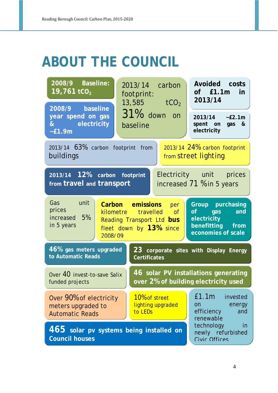# **ABOUT THE COUNCIL**

| 2008/9 Baseline:<br>19,761 $tCO2$                                                                                 | 2013/14 carbon<br>footprint:<br>13,585 $tCO2$                                                          | Avoided costs<br>of £1.1m in<br>2013/14                                                 |  |  |  |  |
|-------------------------------------------------------------------------------------------------------------------|--------------------------------------------------------------------------------------------------------|-----------------------------------------------------------------------------------------|--|--|--|--|
| 2008/9 baseline<br>year spend on gas<br>& electricity<br>$-E1.9m$                                                 | 31% down on<br>baseline                                                                                | 2013/14 ~£2.1m<br>spent on gas &<br>electricity                                         |  |  |  |  |
| 2013/14 63% carbon footprint from<br>2013/14 24% carbon footprint<br>buildings<br>from street lighting            |                                                                                                        |                                                                                         |  |  |  |  |
| Electricity unit prices<br>2013/14 12% carbon footprint<br>from travel and transport<br>increased 71 % in 5 years |                                                                                                        |                                                                                         |  |  |  |  |
| Gas unit<br>prices<br>increased 5%<br>in 5 years<br>2008/09                                                       | Carbon emissions per<br>kilometre travelled of<br>Reading Transport Ltd bus<br>fleet down by 13% since | Group purchasing<br>of gas and<br>electricity<br>benefitting from<br>economies of scale |  |  |  |  |
| 46% gas meters upgraded<br>to Automatic Reads                                                                     | <b>Certificates</b>                                                                                    | 23 corporate sites with Display Energy                                                  |  |  |  |  |
| Over 40 invest-to-save Salix<br>funded projects                                                                   |                                                                                                        | 46 solar PV installations generating<br>over 2% of building electricity used            |  |  |  |  |
| Over 90% of electricity<br>meters upgraded to<br><b>Automatic Reads</b>                                           | 10% of street<br>lighting upgraded<br>to LEDs                                                          | £1.1m invested<br>energy<br><b>on</b><br>efficiency<br>and<br>renewable                 |  |  |  |  |
| <b>Council houses</b>                                                                                             | 465 solar pv systems being installed on                                                                | technology<br>in<br>newly refurbished<br>Civic Offices                                  |  |  |  |  |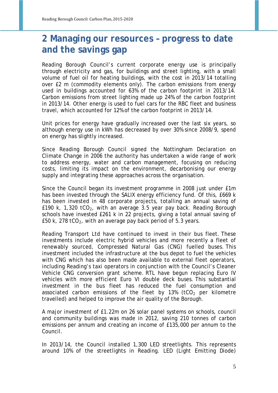### **2 Managing our resources – progress to date and the savings gap**

Reading Borough Council's current corporate energy use is principally through electricity and gas, for buildings and street lighting, with a small volume of fuel oil for heating buildings, with the cost in 2013/14 totalling over £2 m (commodity elements only). The carbon emissions from energy used in buildings accounted for 63% of the carbon footprint in 2013/14. Carbon emissions from street lighting made up 24% of the carbon footprint in 2013/14. Other energy is used to fuel cars for the RBC fleet and business travel, which accounted for 12% of the carbon footprint in 2013/14.

Unit prices for energy have gradually increased over the last six years, so although energy use in kWh has decreased by over 30% since 2008/9, spend on energy has slightly increased.

Since Reading Borough Council signed the Nottingham Declaration on Climate Change in 2006 the authority has undertaken a wide range of work to address energy, water and carbon management, focusing on reducing costs, limiting its impact on the environment, decarbonising our energy supply and integrating these approaches across the organisation.

Since the Council began its investment programme in 2008 just under £1m has been invested through the SALIX energy efficiency fund. Of this, £669 k has been invested in 48 corporate projects, totalling an annual saving of £190 k, 1,320 tCO<sub>2</sub>, with an average 3.5 year pay back. Reading Borough schools have invested £261 k in 22 projects, giving a total annual saving of £50 k, 278 tCO<sub>2</sub>, with an average pay back period of 5.3 years.

Reading Transport Ltd have continued to invest in their bus fleet. These investments include electric hybrid vehicles and more recently a fleet of renewably sourced, Compressed Natural Gas (CNG) fuelled buses. This investment included the infrastructure at the bus depot to fuel the vehicles with CNG which has also been made available to external fleet operators, including Reading's taxi operators in conjunction with the Council's Cleaner Vehicle CNG conversion grant scheme. RTL have begun replacing Euro IV vehicles with more efficient Euro VI double deck buses. This substantial investment in the bus fleet has reduced the fuel consumption and associated carbon emissions of the fleet by 13% (tCO<sub>2</sub> per kilometre travelled) and helped to improve the air quality of the Borough.

A major investment of £1.22m on 26 solar panel systems on schools, council and community buildings was made in 2012, saving 210 tonnes of carbon emissions per annum and creating an income of £135,000 per annum to the Council.

In 2013/14, the Council installed 1,300 LED streetlights. This represents around 10% of the streetlights in Reading. LED (Light Emitting Diode)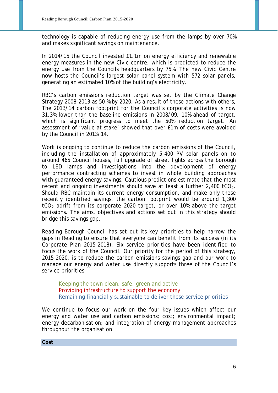technology is capable of reducing energy use from the lamps by over 70% and makes significant savings on maintenance.

In 2014/15 the Council invested £1.1m on energy efficiency and renewable energy measures in the new Civic centre, which is predicted to reduce the energy use from the Councils headquarters by 75%. The new Civic Centre now hosts the Council's largest solar panel system with 572 solar panels, generating an estimated 10% of the building's electricity.

RBC's carbon emissions reduction target was set by the Climate Change Strategy 2008-2013 as 50 % by 2020. As a result of these actions with others, The 2013/14 carbon footprint for the Council's corporate activities is now 31.3% lower than the baseline emissions in 2008/09, 10% ahead of target, which is significant progress to meet the 50% reduction target. An assessment of 'value at stake' showed that over £1m of costs were avoided by the Council in 2013/14.

Work is ongoing to continue to reduce the carbon emissions of the Council, including the installation of approximately 5,400 PV solar panels on to around 465 Council houses, full upgrade of street lights across the borough to LED lamps and investigations into the development of energy performance contracting schemes to invest in whole building approaches with guaranteed energy savings. Cautious predictions estimate that the most recent and ongoing investments should save at least a further  $2,400$  tCO<sub>2</sub>. Should RBC maintain its current energy consumption, and make only these recently identified savings, the carbon footprint would be around 1,300  $tCO<sub>2</sub>$  adrift from its corporate 2020 target, or over 10% above the target emissions. The aims, objectives and actions set out in this strategy should bridge this savings gap.

Reading Borough Council has set out its key priorities to help narrow the gaps in Reading to ensure that everyone can benefit from its success (in its Corporate Plan 2015-2018). Six service priorities have been identified to focus the work of the Council. Our priority for the period of this strategy, 2015-2020, is to reduce the carbon emissions savings gap and our work to manage our energy and water use directly supports three of the Council's service priorities;

Keeping the town clean, safe, green and active Providing infrastructure to support the economy Remaining financially sustainable to deliver these service priorities

We continue to focus our work on the four key issues which affect our energy and water use and carbon emissions; cost; environmental impact; energy decarbonisation; and integration of energy management approaches throughout the organisation.

**Cost**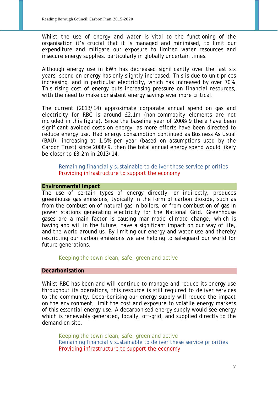Whilst the use of energy and water is vital to the functioning of the organisation it's crucial that it is managed and minimised, to limit our expenditure and mitigate our exposure to limited water resources and insecure energy supplies, particularly in globally uncertain times.

Although energy use in kWh has decreased significantly over the last six years, spend on energy has only slightly increased. This is due to unit prices increasing, and in particular electricity, which has increased by over 70%. This rising cost of energy puts increasing pressure on financial resources, with the need to make consistent energy savings ever more critical.

The current (2013/14) approximate corporate annual spend on gas and electricity for RBC is around £2.1m (non-commodity elements are not included in this figure). Since the baseline year of 2008/9 there have been significant avoided costs on energy, as more efforts have been directed to reduce energy use. Had energy consumption continued as Business As Usual (BAU), increasing at 1.5% per year (based on assumptions used by the Carbon Trust) since 2008/9, then the total annual energy spend would likely be closer to £3.2m in 2013/14.

Remaining financially sustainable to deliver these service priorities Providing infrastructure to support the economy

#### **Environmental impact**

The use of certain types of energy directly, or indirectly, produces greenhouse gas emissions, typically in the form of carbon dioxide, such as from the combustion of natural gas in boilers, or from combustion of gas in power stations generating electricity for the National Grid. Greenhouse gases are a main factor is causing man-made climate change, which is having and will in the future, have a significant impact on our way of life, and the world around us. By limiting our energy and water use and thereby restricting our carbon emissions we are helping to safeguard our world for future generations.

Keeping the town clean, safe, green and active

#### **Decarbonisation**

Whilst RBC has been and will continue to manage and reduce its energy use throughout its operations, this resource is still required to deliver services to the community. Decarbonising our energy supply will reduce the impact on the environment, limit the cost and exposure to volatile energy markets of this essential energy use. A decarbonised energy supply would see energy which is renewably generated, locally, off-grid, and supplied directly to the demand on site.

Keeping the town clean, safe, green and active Remaining financially sustainable to deliver these service priorities Providing infrastructure to support the economy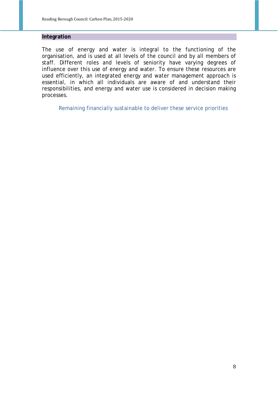#### **Integration**

The use of energy and water is integral to the functioning of the organisation, and is used at all levels of the council and by all members of staff. Different roles and levels of seniority have varying degrees of influence over this use of energy and water. To ensure these resources are used efficiently, an integrated energy and water management approach is essential, in which all individuals are aware of and understand their responsibilities, and energy and water use is considered in decision making processes.

Remaining financially sustainable to deliver these service priorities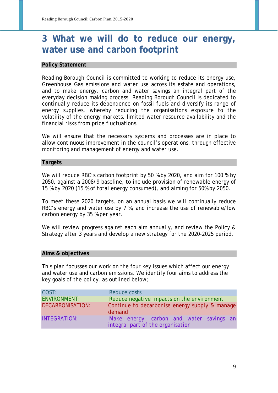### **3 What we will do to reduce our energy, water use and carbon footprint**

#### **Policy Statement**

Reading Borough Council is committed to working to reduce its energy use, Greenhouse Gas emissions and water use across its estate and operations, and to make energy, carbon and water savings an integral part of the everyday decision making process. Reading Borough Council is dedicated to continually reduce its dependence on fossil fuels and diversify its range of energy supplies, whereby reducing the organisations exposure to the volatility of the energy markets, limited water resource availability and the financial risks from price fluctuations.

We will ensure that the necessary systems and processes are in place to allow continuous improvement in the council's operations, through effective monitoring and management of energy and water use.

#### **Targets**

We will reduce RBC's carbon footprint by 50 % by 2020, and aim for 100 % by 2050, against a 2008/9 baseline, to include provision of renewable energy of 15 % by 2020 (15 % of total energy consumed), and aiming for 50% by 2050.

To meet these 2020 targets, on an annual basis we will continually reduce RBC's energy and water use by 7 %, and increase the use of renewable/low carbon energy by 35 % per year.

We will review progress against each aim annually, and review the Policy & Strategy after 3 years and develop a new strategy for the 2020-2025 period.

#### **Aims & objectives**

This plan focusses our work on the four key issues which affect our energy and water use and carbon emissions. We identify four aims to address the key goals of the policy, as outlined below;

| COST:                   | Reduce costs                                                                  |
|-------------------------|-------------------------------------------------------------------------------|
| <b>ENVIRONMENT:</b>     | Reduce negative impacts on the environment                                    |
| <b>DECARBONISATION:</b> | Continue to decarbonise energy supply & manage<br>demand                      |
| <b>INTEGRATION:</b>     | Make energy, carbon and water savings an<br>integral part of the organisation |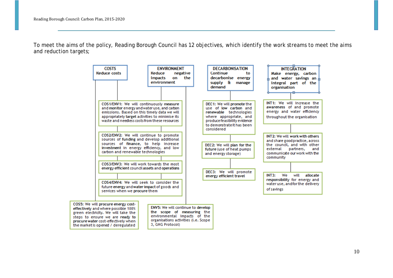To meet the aims of the policy, Reading Borough Council has 12 objectives, which identify the work streams to meet the aims and reduction targets;

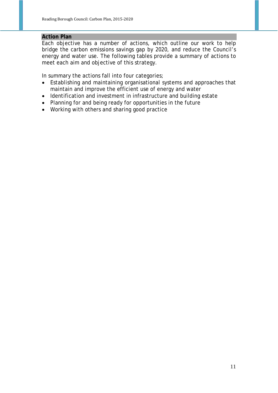#### **Action Plan**

Each objective has a number of actions, which outline our work to help bridge the carbon emissions savings gap by 2020, and reduce the Council's energy and water use. The following tables provide a summary of actions to meet each aim and objective of this strategy.

In summary the actions fall into four categories;

- Establishing and maintaining organisational systems and approaches that maintain and improve the efficient use of energy and water
- Identification and investment in infrastructure and building estate
- Planning for and being ready for opportunities in the future
- Working with others and sharing good practice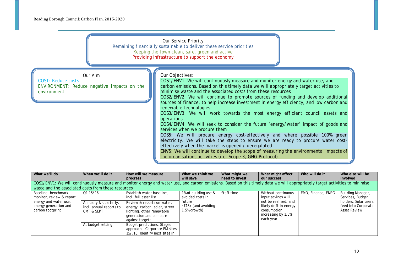#### Our Service Priority

Remaining financially sustainable to deliver these service priorities Keeping the town clean, safe, green and active Providing infrastructure to support the economy

Our Aim

*COST: Reduce costs ENVIRONMENT: Reduce negative impacts on the environment*

#### Our Objectives:

COS1/ENV1: We will continuously measure and monitor energy and water use, and carbon emissions. Based on this timely data we will appropriately target activities to minimise waste and the associated costs from these resources

COS2/ENV2: We will continue to promote sources of funding and develop additional sources of finance, to help increase investment in energy efficiency, and low carbon and renewable technologies

COS3/ENV3: We will work towards the most energy efficient council assets and operations

COS4/ENV4: We will seek to consider the future 'energy/water' impact of goods and services when we procure them

COS5: We will procure energy cost-effectively and where possible 100% green electricity. We will take the steps to ensure we are ready to procure water costeffectively when the market is opened / deregulated

ENV5: We will continue to develop the scope of measuring the environmental impacts of the organisations activities (i.e. Scope 3, GHG Protocol)

| What we'll do                                                      | When we'll do it                                               | How will we measure                                                                                                                                                           | What we think we                              | What might we  | What might affect                                                                                | Who will do it     | Who else will be                                                    |
|--------------------------------------------------------------------|----------------------------------------------------------------|-------------------------------------------------------------------------------------------------------------------------------------------------------------------------------|-----------------------------------------------|----------------|--------------------------------------------------------------------------------------------------|--------------------|---------------------------------------------------------------------|
|                                                                    |                                                                | progress                                                                                                                                                                      | will save                                     | need to invest | our success                                                                                      |                    | involved                                                            |
|                                                                    |                                                                | COS1/ENV1: We will continuously measure and monitor energy and water use, and carbon emissions. Based on this timely data we will appropriately target activities to minimise |                                               |                |                                                                                                  |                    |                                                                     |
| waste and the associated costs from these resources                |                                                                |                                                                                                                                                                               |                                               |                |                                                                                                  |                    |                                                                     |
| Baseline, benchmark,<br>monitor, review & report                   | 01 15/16                                                       | Establish water baseline,<br>incl. full asset list                                                                                                                            | 1% of building use &<br>avoided costs in      | Staff time     | Without continuous<br>input savings will                                                         | EMO, Finance, ENRG | Building Manager,<br>Services, Budget                               |
| energy and water use,<br>energy generation and<br>carbon footprint | Annually & quarterly,<br>incl. annual reports to<br>CMT & SEPT | Review & reports on water,<br>energy, carbon, solar, street<br>lighting, other renewable<br>generation and compare<br>against targets                                         | future<br>~£18k (and avoiding<br>1.5% growth) |                | not be realised, and<br>likely drift in energy<br>consumption<br>increasing by 1.5%<br>each year |                    | holders, Solar users,<br>feed into Corporate<br><b>Asset Review</b> |
|                                                                    | At budget setting                                              | Budget predictions. Staged<br>approach - Corporate FM sites<br>15/.16. Identify next sites in                                                                                 |                                               |                |                                                                                                  |                    |                                                                     |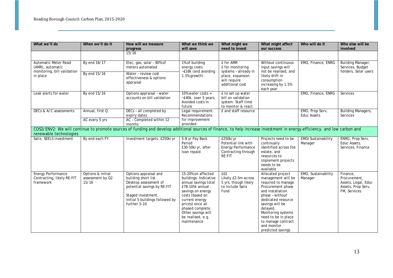| What we'll do                                                        | When we'll do it                               | How will we measure<br>progress                                                                                                                                                 | What we think we<br>will save                                                                                                                                                                                                                      | What might we<br>need to invest                                                               | What might affect<br>our success                                                                                                                                                                                                                                                      | Who will do it                        | Who else will be<br>involved                                                          |
|----------------------------------------------------------------------|------------------------------------------------|---------------------------------------------------------------------------------------------------------------------------------------------------------------------------------|----------------------------------------------------------------------------------------------------------------------------------------------------------------------------------------------------------------------------------------------------|-----------------------------------------------------------------------------------------------|---------------------------------------------------------------------------------------------------------------------------------------------------------------------------------------------------------------------------------------------------------------------------------------|---------------------------------------|---------------------------------------------------------------------------------------|
|                                                                      |                                                | 15/16                                                                                                                                                                           |                                                                                                                                                                                                                                                    |                                                                                               |                                                                                                                                                                                                                                                                                       |                                       |                                                                                       |
| Automatic Meter Read<br>(AMR), automatic                             | By end 16/17                                   | Elec, gas, solar - 80% of<br>meters automated                                                                                                                                   | 1% of building<br>energy costs<br>~£18k (and avoiding                                                                                                                                                                                              | £ for AMR<br>£ for monitoring<br>systems - already in                                         | Without continuous<br>input savings will<br>not be realised, and                                                                                                                                                                                                                      | EMO, Finance, ENRG                    | Building Manager,<br>Services, Budget<br>holders, Solar users                         |
| monitoring, bill validation<br>in place                              | By end 15/16                                   | Water - review cost<br>effectiveness & options<br>appraisal                                                                                                                     | 1.5% growth)                                                                                                                                                                                                                                       | place, expansion<br>will require<br>additional cost                                           | likely drift in<br>consumption<br>increasing by 1.5%<br>each year                                                                                                                                                                                                                     |                                       |                                                                                       |
| Leak alerts for water                                                | By end 15/16                                   | Options appraisal - water<br>accounts on bill validation                                                                                                                        | 10% water costs =<br>~£40k, over 5 years.<br>Avoided costs in<br>future                                                                                                                                                                            | £ to set up water<br>bill on validation<br>system. Staff time<br>to monitor & react           |                                                                                                                                                                                                                                                                                       | EMO, Finance, ENRG                    | Services                                                                              |
| DECs & A/C assessments                                               | Annual, first Q                                | DECs - all completed by<br>expiry dates                                                                                                                                         | Legal requirement.<br><b>Recommendations</b>                                                                                                                                                                                                       | £ and staff resource                                                                          |                                                                                                                                                                                                                                                                                       | EMO, Prop Serv,<br><b>Educ Assets</b> | Building Managers,<br>Services                                                        |
|                                                                      | AC every 5 yrs                                 | AC - Completed within 12<br>months                                                                                                                                              | for improvement<br>provided                                                                                                                                                                                                                        |                                                                                               |                                                                                                                                                                                                                                                                                       |                                       |                                                                                       |
| renewable technologies                                               |                                                | COS2/ENV2: We will continue to promote sources of funding and develop additional sources of finance, to help increase investment in energy efficiency, and low carbon and       |                                                                                                                                                                                                                                                    |                                                                                               |                                                                                                                                                                                                                                                                                       |                                       |                                                                                       |
| Salix, SEELS investment                                              | By end each FY                                 | Investment targets. £250k/yr                                                                                                                                                    | 5-8 yr Pay Back<br>Period<br>£30-50k/yr, after<br>loan repaid                                                                                                                                                                                      | £250k/yr<br>Potential link with<br><b>Energy Performance</b><br>Contracting through<br>RE:FIT | Projects need to be<br>continually<br>identified across the<br>estate, and<br>resources to<br>implement projects<br>needs to be<br>available                                                                                                                                          | EMO/Sustainability<br>Manager         | ENRG, Prop Serv,<br>Educ Assets,<br>Services, Finance                                 |
| <b>Energy Performance</b><br>Contracting, likely RE:FIT<br>framework | Options & initial<br>assessment by Q2<br>15/16 | Options appraisal and<br>building short list.<br>Desktop assessment of<br>potential savings by RE:FIT<br>Staged investment.<br>Initial 5 buildings followed by<br>further 5-10. | 15-20% on affected<br>buildings. Indicative<br>annual savings total<br>£78-105k annual<br>savings on energy<br>costs (based on<br>current energy<br>prices) once all<br>phased complete.<br>Other savings will<br>be realised, e.g.<br>maintenance | <b>E</b> £E<br>Likely £2-5m across<br>5 yrs, though likely<br>to include Salix<br>Fund        | Allocated project<br>management will be<br>required to manage<br>Procurement phase<br>and installation<br>phase - without<br>dedicated resource<br>savings will be<br>delayed.<br>Monitoring systems<br>need to be in place<br>to manage contract<br>and monitor<br>predicted savings | EMO, Sustainability<br>Manager        | Finance,<br>Procurement,<br>Assets, Legal, Educ<br>Assets, Prop Serv,<br>FM, Services |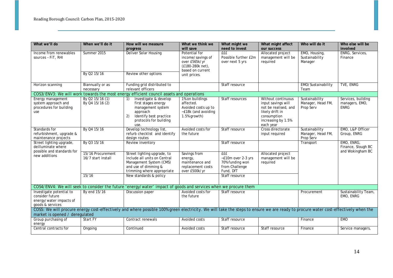| What we'll do                                                                              | When we'll do it                        | How will we measure<br>progress                                                                                                                                                   | What we think we<br>will save                                                                               | What might we<br>need to invest                                                    | What might affect<br>our success                                                                                                      | Who will do it                                   | Who else will be<br>involved                         |
|--------------------------------------------------------------------------------------------|-----------------------------------------|-----------------------------------------------------------------------------------------------------------------------------------------------------------------------------------|-------------------------------------------------------------------------------------------------------------|------------------------------------------------------------------------------------|---------------------------------------------------------------------------------------------------------------------------------------|--------------------------------------------------|------------------------------------------------------|
| Income from renewables<br>sources - FIT, RHI                                               | Summer 2015<br>By Q2 15/16              | Deliver Solar Housing<br>Review other options                                                                                                                                     | Potential for<br>income/savings of<br>over £565k/yr<br>(£180-280k net),<br>based on current<br>unit prices. | <b>EEE</b><br>Possible further £2m<br>over next 5 yrs                              | Allocated project<br>management will be<br>required                                                                                   | EMO, Housing,<br>Sustainability<br>Manager       | ENRG, Services,<br>Finance                           |
| Horizon scanning                                                                           | Biannually or as<br>necessary           | Funding grid distributed to<br>relevant officers                                                                                                                                  |                                                                                                             | Staff resource                                                                     |                                                                                                                                       | EMO/Sustainability<br>Team                       | TVE, ENRG                                            |
|                                                                                            |                                         | COS3/ENV3: We will work towards the most energy efficient council assets and operations                                                                                           |                                                                                                             |                                                                                    |                                                                                                                                       |                                                  |                                                      |
| Energy management<br>system approach and<br>procedures for building<br>use                 | By Q2 15/16 (1)<br>By Q4 15/16 (2)      | Investigate & develop<br>1)<br>first stages energy<br>management system<br>approach<br>2)<br>Identify best practice<br>protocols for building<br>use.                             | 1% on buildings<br>affected.<br>Avoided costs up to<br>~£18k (and avoiding<br>1.5% growth)                  | Staff resources                                                                    | Without continuous<br>input savings will<br>not be realised, and<br>likely drift in<br>consumption<br>increasing by 1.5%<br>each year | Sustainability<br>Manager, Head FM,<br>Prop Serv | Services, building<br>managers, EMO,<br><b>ENRG</b>  |
| Standards for<br>refurbishment, upgrade &<br>maintenance projects                          | By Q4 15/16                             | Develop technology list,<br>refurb checklist and identify<br>design routes                                                                                                        | Avoided costs for<br>the future                                                                             | Staff resource                                                                     | Cross directorate<br>input required                                                                                                   | Sustainability<br>Manager, Head FM,<br>Prop Serv | EMO, L&P Officer<br>Group, ENRG                      |
| Street lighting upgrade,<br>deilluminate where<br>possible and standards for               | By Q3 15/16                             | Review inventory                                                                                                                                                                  |                                                                                                             | Staff resource                                                                     |                                                                                                                                       | Transport                                        | EMO, ENRG,<br>Finance, Slough BC<br>and Wokingham BC |
| new additions                                                                              | 15/16 Procurement<br>16/7 start install | Street lighting upgrade, to<br>include all units on Central<br>Management System (CMS)<br>and use of dimming &<br>trimming where appropriate                                      | Savings from<br>energy,<br>maintenance and<br>replacement costs<br>over £500k/yr                            | <b>fff</b><br>~£10m over 2-3 yrs<br>70% funding won<br>from Challenge<br>Fund, DfT | Allocated project<br>management will be<br>required                                                                                   |                                                  |                                                      |
|                                                                                            | 15/16                                   | New standards & policy                                                                                                                                                            |                                                                                                             | Staff resource                                                                     |                                                                                                                                       |                                                  |                                                      |
|                                                                                            |                                         |                                                                                                                                                                                   |                                                                                                             |                                                                                    |                                                                                                                                       |                                                  |                                                      |
|                                                                                            |                                         | COS4/ENV4: We will seek to consider the future 'energy/water' impact of goods and services when we procure them                                                                   |                                                                                                             |                                                                                    |                                                                                                                                       |                                                  |                                                      |
| Investigate potential to<br>consider future<br>energy/water impacts of<br>goods & services | By end 15/16                            | Discussion paper                                                                                                                                                                  | Avoided costs for<br>the future                                                                             | Staff resource                                                                     |                                                                                                                                       | Procurement                                      | Sustainability Team,<br>EMO, ENRG                    |
| market is opened / deregulated                                                             |                                         | COS5: We will procure energy cost-effectively and where possible 100% green electricity. We will take the steps to ensure we are ready to procure water cost-effectively when the |                                                                                                             |                                                                                    |                                                                                                                                       |                                                  |                                                      |
| Group purchasing of<br>energy                                                              | <b>Start FY</b>                         | Contract renewals                                                                                                                                                                 | Avoided costs                                                                                               | Staff resource                                                                     |                                                                                                                                       | Finance                                          | <b>EMO</b>                                           |
| Central contracts for                                                                      | Ongoing                                 | Continued                                                                                                                                                                         | Avoided costs                                                                                               | Staff resource                                                                     | Staff resource                                                                                                                        | Finance                                          | Service managers,                                    |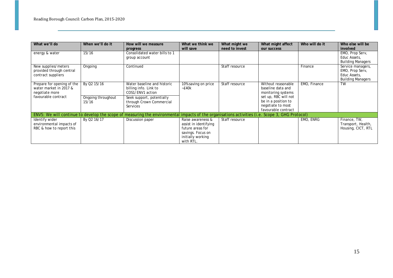| What we'll do              | When we'll do it   | How will we measure                                                                                                                             | What we think we      | What might we  | What might affect    | Who will do it | Who else will be         |
|----------------------------|--------------------|-------------------------------------------------------------------------------------------------------------------------------------------------|-----------------------|----------------|----------------------|----------------|--------------------------|
|                            |                    | progress                                                                                                                                        | will save             | need to invest | our success          |                | involved                 |
| energy & water             | 15/16              | Consolidated water bills to 1                                                                                                                   |                       |                |                      |                | EMO, Prop Serv,          |
|                            |                    | group account                                                                                                                                   |                       |                |                      |                | Educ Assets,             |
|                            |                    |                                                                                                                                                 |                       |                |                      |                | <b>Building Managers</b> |
| New supplies/meters        | Ongoing            | Continued                                                                                                                                       |                       | Staff resource |                      | Finance        | Service managers,        |
| provided through central   |                    |                                                                                                                                                 |                       |                |                      |                | EMO, Prop Serv,          |
| contract suppliers         |                    |                                                                                                                                                 |                       |                |                      |                | Educ Assets,             |
|                            |                    |                                                                                                                                                 |                       |                |                      |                | <b>Building Managers</b> |
| Prepare for opening of the | By Q2 15/16        | Water baseline and historic                                                                                                                     | 10% saving on price   | Staff resource | Without reasonable   | EMO, Finance   | <b>TW</b>                |
| water market in 2017 &     |                    | billing info. Link to                                                                                                                           | $-E40k$               |                | baseline data and    |                |                          |
| negotiate more             |                    | COS1/ENV1 action                                                                                                                                |                       |                | monitoring systems   |                |                          |
| favourable contract        | Ongoing throughout | Seek support, potentially                                                                                                                       |                       |                | set up, RBC will not |                |                          |
|                            | 15/16              | through Crown Commercial                                                                                                                        |                       |                | be in a position to  |                |                          |
|                            |                    | Services                                                                                                                                        |                       |                | negotiate to most    |                |                          |
|                            |                    |                                                                                                                                                 |                       |                | favourable contract  |                |                          |
|                            |                    | ENV5: We will continue to develop the scope of measuring the environmental impacts of the organisations activities (i.e. Scope 3, GHG Protocol) |                       |                |                      |                |                          |
| Identify wider             | By Q2 16/17        | Discussion paper                                                                                                                                | Raise awareness &     | Staff resource |                      | EMO, ENRG      | Finance, TW,             |
| environmental impacts of   |                    |                                                                                                                                                 | assist in identifying |                |                      |                | Transport, Health,       |
| RBC & how to report this   |                    |                                                                                                                                                 | future areas for      |                |                      |                | Housing, CICT, RTL       |
|                            |                    |                                                                                                                                                 | savings. Focus on     |                |                      |                |                          |
|                            |                    |                                                                                                                                                 | initially working     |                |                      |                |                          |
|                            |                    |                                                                                                                                                 | with RTL.             |                |                      |                |                          |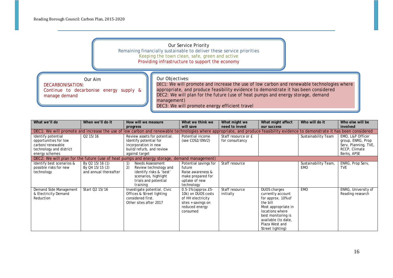#### Our Service Priority

Remaining financially sustainable to deliver these service priorities Keeping the town clean, safe, green and active

Providing infrastructure to support the economy

Our Aim

#### Our Objectives:

*DECARBONISATION: Continue to decarbonise energy supply & manage demand*

DEC1: We will promote and increase the use of low carbon and renewable technologies where appropriate, and produce feasibility evidence to demonstrate it has been considered DEC2: We will plan for the future (use of heat pumps and energy storage, demand management) DEC3: We will promote energy efficient travel

| What we'll do                                                                                                | When we'll do it                                            | How will we measure                                                                                                                                                           | What we think we                                                                                                       | What might we                          | What might affect                                                                                                                                                                                | Who will do it                     | Who else will be                                                                              |
|--------------------------------------------------------------------------------------------------------------|-------------------------------------------------------------|-------------------------------------------------------------------------------------------------------------------------------------------------------------------------------|------------------------------------------------------------------------------------------------------------------------|----------------------------------------|--------------------------------------------------------------------------------------------------------------------------------------------------------------------------------------------------|------------------------------------|-----------------------------------------------------------------------------------------------|
|                                                                                                              |                                                             | progress                                                                                                                                                                      | will save                                                                                                              | need to invest                         | our success                                                                                                                                                                                      |                                    | involved                                                                                      |
|                                                                                                              |                                                             | DEC1: We will promote and increase the use of low carbon and renewable technologies where appropriate, and produce feasibility evidence to demonstrate it has been considered |                                                                                                                        |                                        |                                                                                                                                                                                                  |                                    |                                                                                               |
| Identify potential<br>opportunities for low<br>carbon/renewable<br>technology and district<br>energy schemes | Q <sub>2</sub> 15/16                                        | Review assets for potential.<br>Identify potential for<br>incorporation in new<br>build/refurb, and review<br>against target                                                  | Potential income<br>(see COS2/ENV2)                                                                                    | Staff resource or £<br>for consultancy |                                                                                                                                                                                                  | Sustainability Team                | EMO, L&P Officer<br>group, ENRG, Prop<br>Serv, Planning, TVE,<br>RCCP, Climate<br>Berks, APSE |
|                                                                                                              |                                                             | DEC2: We will plan for the future (use of heat pumps and energy storage, demand management)                                                                                   |                                                                                                                        |                                        |                                                                                                                                                                                                  |                                    |                                                                                               |
| Identify best scenarios &<br>possible risks for new<br>technology                                            | By Q2 15/16 (1)<br>By Q4 15/15 (2)<br>and annual thereafter | Needs Assessment<br>2)<br>Review technology and<br>identify risks & 'best'<br>scenarios, highlight<br>trials and potential<br>training                                        | Potential savings for<br>future<br>Raise awareness &<br>make prepared for<br>uptake of new<br>technology               | Staff resource                         |                                                                                                                                                                                                  | Sustainability Team,<br><b>EMO</b> | ENRG, Prop Serv,<br><b>TVE</b>                                                                |
| Demand Side Management<br>& Electricity Demand<br>Reduction                                                  | Start Q2 15/16                                              | Investigate potential. Civic<br>Offices & Street lighting<br>considered first.<br>Other sites after 2017                                                                      | $0.5 - 1%$ (approx. £5-<br>10k) on DUOS costs<br>of HH electricity<br>sites + savings on<br>reduced energy<br>consumed | Staff resource<br>initially            | DUOS charges<br>currently account<br>for approx. 10% of<br>the bill<br>Most appropriate in<br>locations where<br>best monitoring is<br>available (to date,<br>Plaza West and<br>Street lighting) | <b>EMO</b>                         | ENRG, University of<br>Reading research                                                       |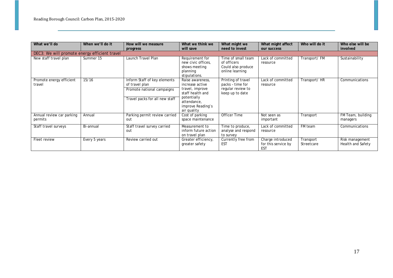| What we'll do                                 | When we'll do it | How will we measure                                                                                            | What we think we                                                                                                                             | What might we                                                                  | What might affect                                      | Who will do it          | Who else will be                     |
|-----------------------------------------------|------------------|----------------------------------------------------------------------------------------------------------------|----------------------------------------------------------------------------------------------------------------------------------------------|--------------------------------------------------------------------------------|--------------------------------------------------------|-------------------------|--------------------------------------|
|                                               |                  | progress                                                                                                       | will save                                                                                                                                    | need to invest                                                                 | our success                                            |                         | involved                             |
| DEC3: We will promote energy efficient travel |                  |                                                                                                                |                                                                                                                                              |                                                                                |                                                        |                         |                                      |
| New staff travel plan                         | Summer 15        | Launch Travel Plan                                                                                             | Requirement for<br>new civic offices,<br>shows meeting<br>planning<br>stipulations.                                                          | Time of small team<br>of officers<br>Could also produce<br>online learning     | Lack of committed<br>resource                          | Transport/FM            | Sustainability                       |
| Promote energy efficient<br>travel            | 15/16            | Inform Staff of key elements<br>of travel plan<br>Promote national campaigns<br>Travel packs for all new staff | Raise awareness,<br>increase active<br>travel, improve<br>staff health and<br>potentially<br>attendance,<br>improve Reading's<br>air quality | Printing of travel<br>packs - time for<br>regular review to<br>keep up to date | Lack of committed<br>resource                          | Transport/HR            | Communications                       |
| Annual review car parking<br>permits          | Annual           | Parking permit review carried<br>out                                                                           | Cost of parking<br>space maintenance                                                                                                         | Officer Time                                                                   | Not seen as<br>important                               | Transport               | FM Team, building<br>managers        |
| Staff travel surveys                          | Bi-annual        | Staff travel survey carried<br>out                                                                             | Measurement to<br>inform future action<br>on travel plan                                                                                     | Time to produce,<br>analyse and respond<br>to survey                           | Lack of committed<br>resource                          | FM team                 | Communications                       |
| Fleet review                                  | Every 5 years    | Review carried out                                                                                             | Greater efficiency,<br>greater safety                                                                                                        | Currently free from<br><b>EST</b>                                              | Charge introduced<br>for this service by<br><b>EST</b> | Transport<br>Streetcare | Risk management<br>Health and Safety |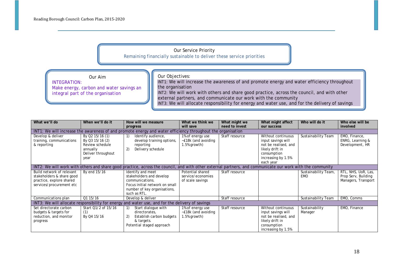*INTEGRATION:* 

Our Service Priority Remaining financially sustainable to deliver these service priorities

Our Aim

*integral part of the organisation*

Our Objectives:

*Make energy, carbon and water savings an*  INT1: We will increase the awareness of and promote energy and water efficiency throughout the organisation INT2: We will work with others and share good practice, across the council, and with other external partners, and communicate our work with the community INT3: We will allocate responsibility for energy and water use, and for the delivery of savings

| What we'll do                                                                                                  | When we'll do it                                                                                | How will we measure                                                                                                                                       | What we think we                                          | What might we  | What might affect                                                                                                                     | Who will do it                     | Who else will be                                                  |
|----------------------------------------------------------------------------------------------------------------|-------------------------------------------------------------------------------------------------|-----------------------------------------------------------------------------------------------------------------------------------------------------------|-----------------------------------------------------------|----------------|---------------------------------------------------------------------------------------------------------------------------------------|------------------------------------|-------------------------------------------------------------------|
|                                                                                                                |                                                                                                 | progress                                                                                                                                                  | will save                                                 | need to invest | our success                                                                                                                           |                                    | involved                                                          |
|                                                                                                                |                                                                                                 | INT1: We will increase the awareness of and promote energy and water efficiency throughout the organisation                                               |                                                           |                |                                                                                                                                       |                                    |                                                                   |
| Develop & deliver<br>training, communications<br>& reporting                                                   | By Q2 15/16 (1)<br>By Q3 15/16 (2)<br>Review schedule<br>annually<br>Deliver throughout<br>year | Identify audience,<br>develop training options,<br>reporting<br>2)<br>Delivery schedule                                                                   | 1% of energy use<br>-£18k (and avoiding<br>1.5% growth)   | Staff resource | Without continuous<br>input savings will<br>not be realised, and<br>likely drift in<br>consumption<br>increasing by 1.5%<br>each year | Sustainability Team                | EMO, Finance,<br>ENRG, Learning &<br>Development, HR              |
|                                                                                                                |                                                                                                 | INT2: We will work with others and share good practice, across the council, and with other external partners, and communicate our work with the community |                                                           |                |                                                                                                                                       |                                    |                                                                   |
| Build network of relevant<br>stakeholders & share good<br>practice, explore shared<br>services/procurement etc | By end 15/16                                                                                    | Identify and meet<br>stakeholders and develop<br>communications.<br>Focus initial network on small<br>number of key organisations,<br>such as RTL.        | Potential shared<br>service/economies<br>of scale savings | Staff resource |                                                                                                                                       | Sustainability Team,<br><b>EMO</b> | RTL, NHS, UoR, Las,<br>Prop Serv, Building<br>Managers, Transport |
| Communications plan                                                                                            | Q1 15/16                                                                                        | Develop & deliver                                                                                                                                         |                                                           | Staff resource |                                                                                                                                       | Sustainability Team                | EMO, Comms                                                        |
|                                                                                                                |                                                                                                 | INT3: We will allocate responsibility for energy and water use, and for the delivery of savings                                                           |                                                           |                |                                                                                                                                       |                                    |                                                                   |
| Set directorate carbon<br>budgets & targets for<br>reduction, and monitor<br>progress                          | Start Q1/2 of 15/16<br>(1)<br>By Q4 15/16                                                       | Start dialogue with<br>directorates,<br>2)<br>Establish carbon budgets<br>& targets.<br>Potential staged approach                                         | 1% of energy use<br>~£18k (and avoiding<br>1.5% growth)   | Staff resource | Without continuous<br>input savings will<br>not be realised, and<br>likely drift in<br>consumption<br>increasing by 1.5%              | Sustainability<br>Manager          | EMO, Finance                                                      |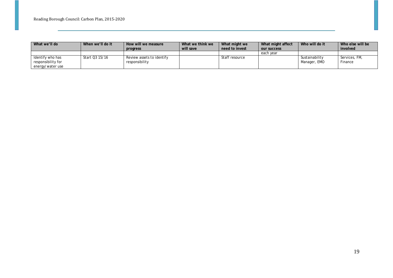| What we'll do      | When we'll do it | How will we measure       | What we think we | What might we  | What might affect | Who will do it | Who else will be |
|--------------------|------------------|---------------------------|------------------|----------------|-------------------|----------------|------------------|
|                    |                  | progress                  | will save        | need to invest | our success       |                | involved         |
|                    |                  |                           |                  |                | each year         |                |                  |
| Identify who has   | Start Q3 15/16   | Review assets to identify |                  | Staff resource |                   | Sustainability | Services, FM,    |
| responsibility for |                  | responsibility            |                  |                |                   | Manager, EMO   | Finance          |
| energy/water use   |                  |                           |                  |                |                   |                |                  |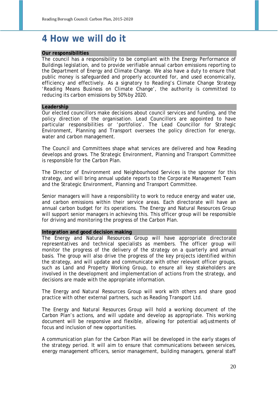### **4 How we will do it**

#### **Our responsibilities**

The council has a responsibility to be compliant with the Energy Performance of Buildings legislation, and to provide verifiable annual carbon emissions reporting to the Department of Energy and Climate Change. We also have a duty to ensure that public money is safeguarded and properly accounted for, and used economically, efficiency and effectively. As a signatory to Reading's Climate Change Strategy '*Reading Means Business on Climate Change*', the authority is committed to reducing its carbon emissions by 50% by 2020.

#### **Leadership**

Our elected councillors make decisions about council services and funding, and the policy direction of the organisation. Lead Councillors are appointed to have particular responsibilities or 'portfolios'. The Lead Councillor for Strategic Environment, Planning and Transport oversees the policy direction for energy, water and carbon management.

The Council and Committees shape what services are delivered and how Reading develops and grows. The Strategic Environment, Planning and Transport Committee is responsible for the Carbon Plan.

The Director of Environment and Neighbourhood Services is the sponsor for this strategy, and will bring annual update reports to the Corporate Management Team and the Strategic Environment, Planning and Transport Committee.

Senior managers will have a responsibility to work to reduce energy and water use, and carbon emissions within their service areas. Each directorate will have an annual carbon budget for its operations. The Energy and Natural Resources Group will support senior managers in achieving this. This officer group will be responsible for driving and monitoring the progress of the Carbon Plan.

#### **Integration and good decision making**

The Energy and Natural Resources Group will have appropriate directorate representatives and technical specialists as members. The officer group will monitor the progress of the delivery of the strategy on a quarterly and annual basis. The group will also drive the progress of the key projects identified within the strategy, and will update and communicate with other relevant officer groups, such as Land and Property Working Group, to ensure all key stakeholders are involved in the development and implementation of actions from the strategy, and decisions are made with the appropriate information.

The Energy and Natural Resources Group will work with others and share good practice with other external partners, such as Reading Transport Ltd.

The Energy and Natural Resources Group will hold a working document of the Carbon Plan's actions, and will update and develop as appropriate. This working document will be responsive and flexible, allowing for potential adjustments of focus and inclusion of new opportunities.

A communication plan for the Carbon Plan will be developed in the early stages of the strategy period. It will aim to ensure that communications between services, energy management officers, senior management, building managers, general staff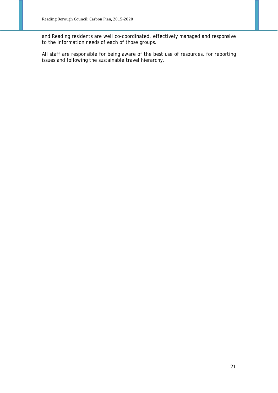and Reading residents are well co-coordinated, effectively managed and responsive to the information needs of each of those groups.

All staff are responsible for being aware of the best use of resources, for reporting issues and following the sustainable travel hierarchy.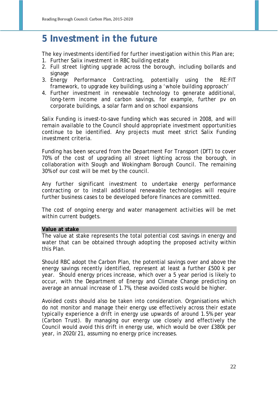### **5 Investment in the future**

The key investments identified for further investigation within this Plan are;

- 1. Further Salix investment in RBC building estate
- 2. Full street lighting upgrade across the borough, including bollards and signage
- 3. Energy Performance Contracting, potentially using the RE:FIT framework, to upgrade key buildings using a 'whole building approach'
- 4. Further investment in renewable technology to generate additional, long-term income and carbon savings, for example, further pv on corporate buildings, a solar farm and on school expansions

Salix Funding is invest-to-save funding which was secured in 2008, and will remain available to the Council should appropriate investment opportunities continue to be identified. Any projects must meet strict Salix Funding investment criteria.

Funding has been secured from the Department For Transport (DfT) to cover 70% of the cost of upgrading all street lighting across the borough, in collaboration with Slough and Wokingham Borough Council. The remaining 30% of our cost will be met by the council.

Any further significant investment to undertake energy performance contracting or to install additional renewable technologies will require further business cases to be developed before finances are committed.

The cost of ongoing energy and water management activities will be met within current budgets.

#### **Value at stake**

The value at stake represents the total potential cost savings in energy and water that can be obtained through adopting the proposed activity within this Plan.

Should RBC adopt the Carbon Plan, the potential savings over and above the energy savings recently identified, represent at least a further £500 k per year. Should energy prices increase, which over a 5 year period is likely to occur, with the Department of Energy and Climate Change predicting on average an annual increase of 1.7%, these avoided costs would be higher.

Avoided costs should also be taken into consideration. Organisations which do not monitor and manage their energy use effectively across their estate typically experience a drift in energy use upwards of around 1.5% per year (Carbon Trust). By managing our energy use closely and effectively the Council would avoid this drift in energy use, which would be over £380k per year, in 2020/21, assuming no energy price increases.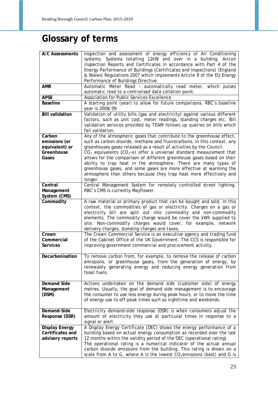# **Glossary of terms**

| <b>A/C Assessments</b>                                           | Inspection and assessment of energy efficiency of Air Conditioning<br>systems. Systems totalling 12kW and over in a building. Aircon<br>inspection Reports and Certificates in accordance with Part 4 of the<br>Energy Performance of Buildings (Certificates and Inspections) (England<br>& Wales) Regulations 2007 which implements Article 9 of the EU Energy<br>Performance of Buildings Directive.                                             |
|------------------------------------------------------------------|-----------------------------------------------------------------------------------------------------------------------------------------------------------------------------------------------------------------------------------------------------------------------------------------------------------------------------------------------------------------------------------------------------------------------------------------------------|
| <b>AMR</b>                                                       | Automatic Meter Read - automatically read meter, which pulses<br>automatic read to a centralised data collation point.                                                                                                                                                                                                                                                                                                                              |
| <b>APSE</b>                                                      | <b>Association for Public Services Excellence</b>                                                                                                                                                                                                                                                                                                                                                                                                   |
| <b>Baseline</b>                                                  | A starting point (year) to allow for future comparisons. RBC's baseline<br>year is 2008/09                                                                                                                                                                                                                                                                                                                                                          |
| <b>Bill validation</b>                                           | Validation of utility bills (gas and electricity) against various different<br>factors, such as unit cost, meter readings, standing charges etc. Bill<br>validation services provided by TEAM follows up queries on bills which<br>fail validation.                                                                                                                                                                                                 |
| Carbon<br>emissions (or<br>equivalent) or<br>Greenhouse<br>Gases | Any of the atmospheric gases that contribute to the greenhouse effect,<br>such as carbon dioxide, methane and fluorocarbons. In this context, any<br>greenhouses gases released as a result of activities by the Council.<br>$CO2$ equivalents (CO <sub>2</sub> -e) offer a universal standard measurement that<br>allows for the comparison of different greenhouse gases based on their                                                           |
|                                                                  | ability to trap heat in the atmosphere. There are many types of<br>greenhouse gases, and some gases are more effective at warming the<br>atmosphere than others because they trap heat more effectively and<br>longer.                                                                                                                                                                                                                              |
| Central<br>Management<br>System (CMS)                            | Central Management System for remotely controlled street lighting.<br>RBC's CMS is currently Mayflower.                                                                                                                                                                                                                                                                                                                                             |
| Commodity                                                        | A raw material or primary product that can be bought and sold. In this<br>context, the commodities of gas or electricity. Charges on a gas or<br>electricity bill are split out into commodity and non-commodity<br>elements. The commodity charge would be cover the kWh supplied to<br>site. Non-commodity charges would cover, for example, network<br>delivery charges, standing charges and taxes.                                             |
| Crown<br>Commercial<br><b>Services</b>                           | The Crown Commercial Service is an executive agency and trading fund<br>of the Cabinet Office of the UK Government. The CCS is responsible for<br>improving government commercial and procurement activity.                                                                                                                                                                                                                                         |
| Decarbonisation                                                  | To remove carbon from, for example, to remove the release of carbon<br>emissions, or greenhouse gases, from the generation of energy, by<br>renewably generating energy and reducing energy generation from<br>fossil fuels.                                                                                                                                                                                                                        |
| <b>Demand Side</b><br>Management<br>(DSM)                        | Actions undertaken on the demand side (customer side) of energy<br>metres. Usually, the goal of demand side management is to encourage<br>the consumer to use less energy during peak hours, or to move the time<br>of energy use to off-peak times such as nighttime and weekends.                                                                                                                                                                 |
| Demand-Side<br>Response (DSR)                                    | Electricity demand-side response (DSR) is when consumers adjust the<br>amount of electricity they use at particular times in response to a<br>signal or alert.                                                                                                                                                                                                                                                                                      |
| <b>Display Energy</b><br>Certificates and<br>advisory reports    | A Display Energy Certificate (DEC) shows the energy performance of a<br>building based on actual energy consumption as recorded over the last<br>12 months within the validity period of the DEC (operational rating).<br>The operational rating is a numerical indicator of the actual annual<br>carbon dioxide emissions from the building. This rating is shown on a<br>scale from A to G, where A is the lowest $CO2$ emissions (best) and G is |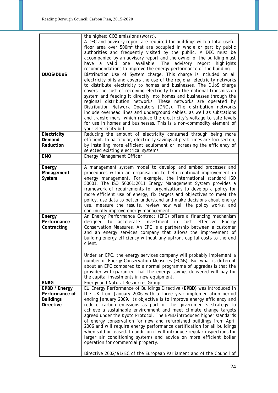| <b>DUOS/DUOS</b>                                                        | the highest CO2 emissions (worst).<br>A DEC and advisory report are required for buildings with a total useful<br>floor area over $500m^2$ that are occupied in whole or part by public<br>authorities and frequently visited by the public. A DEC must be<br>accompanied by an advisory report and the owner of the building must<br>have a valid one available. The advisory report highlights<br>recommendations to improve the energy performance of the building.<br>Distribution Use of System charge. This charge is included on all<br>electricity bills and covers the use of the regional electricity networks<br>to distribute electricity to homes and businesses. The DUoS charge<br>covers the cost of receiving electricity from the national transmission<br>system and feeding it directly into homes and businesses through the<br>regional distribution networks. These networks are operated by<br>Distribution Network Operators (DNOs). The distribution networks<br>include overhead lines and underground cables, as well as substations |
|-------------------------------------------------------------------------|------------------------------------------------------------------------------------------------------------------------------------------------------------------------------------------------------------------------------------------------------------------------------------------------------------------------------------------------------------------------------------------------------------------------------------------------------------------------------------------------------------------------------------------------------------------------------------------------------------------------------------------------------------------------------------------------------------------------------------------------------------------------------------------------------------------------------------------------------------------------------------------------------------------------------------------------------------------------------------------------------------------------------------------------------------------|
| Electricity<br>Demand                                                   | and transformers, which reduce the electricity's voltage to safe levels<br>for use in homes and businesses. This is a non-commodity element of<br>your electricity bill.<br>Reducing the amount of electricity consumed through being more<br>efficient. In particular, electricity savings at peak times are focused on,                                                                                                                                                                                                                                                                                                                                                                                                                                                                                                                                                                                                                                                                                                                                        |
| Reduction<br><b>EMO</b>                                                 | by installing more efficient equipment or increasing the efficiency of<br>selected existing electrical systems.                                                                                                                                                                                                                                                                                                                                                                                                                                                                                                                                                                                                                                                                                                                                                                                                                                                                                                                                                  |
|                                                                         | <b>Energy Management Officer</b>                                                                                                                                                                                                                                                                                                                                                                                                                                                                                                                                                                                                                                                                                                                                                                                                                                                                                                                                                                                                                                 |
| Energy<br>Management<br>System<br>Energy<br>Performance<br>Contracting  | A management system model to develop and embed processes and<br>procedures within an organisation to help continual improvement in<br>energy management. For example, the international standard ISO<br>50001. The ISO 50001:2011 Energy Management System provides a<br>framework of requirements for organizations to develop a policy for<br>more efficient use of energy, fix targets and objectives to meet the<br>policy, use data to better understand and make decisions about energy<br>use, measure the results, review how well the policy works, and<br>continually improve energy management.<br>An Energy Performance Contract (EPC) offers a financing mechanism<br>designed to<br>accelerate<br>investment in cost<br>effective<br>Energy<br>Conservation Measures. An EPC is a partnership between a customer                                                                                                                                                                                                                                   |
|                                                                         | and an energy services company that allows the improvement of<br>building energy efficiency without any upfront capital costs to the end<br>client.<br>Under an EPC, the energy services company will probably implement a<br>number of Energy Conservation Measures (ECMs). But what is different<br>about an EPC compared to a normal programme of upgrades is that the<br>provider will guarantee that the energy savings delivered will pay for<br>the capital investments in new equipment.                                                                                                                                                                                                                                                                                                                                                                                                                                                                                                                                                                 |
| <b>ENRG</b>                                                             | <b>Energy and Natural Resources Group</b>                                                                                                                                                                                                                                                                                                                                                                                                                                                                                                                                                                                                                                                                                                                                                                                                                                                                                                                                                                                                                        |
| EPBD / Energy<br>Performance of<br><b>Buildings</b><br><b>Directive</b> | EU Energy Performance of Buildings Directive (EPBD) was introduced in<br>the UK from January 2006 with a three year implementation period<br>ending January 2009. Its objective is to improve energy efficiency and<br>reduce carbon emissions as part of the government's strategy to<br>achieve a sustainable environment and meet climate change targets<br>agreed under the Kyoto Protocol. The EPBD introduced higher standards<br>of energy conservation for new and refurbished buildings from April<br>2006 and will require energy performance certification for all buildings<br>when sold or leased. In addition it will introduce regular inspections for<br>larger air conditioning systems and advice on more efficient boiler<br>operation for commercial property.                                                                                                                                                                                                                                                                               |
|                                                                         | Directive 2002/91/EC of the European Parliament and of the Council of                                                                                                                                                                                                                                                                                                                                                                                                                                                                                                                                                                                                                                                                                                                                                                                                                                                                                                                                                                                            |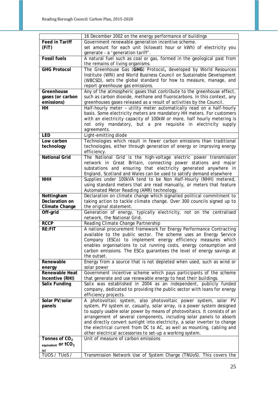|                                         | 16 December 2002 on the energy performance of buildings                    |
|-----------------------------------------|----------------------------------------------------------------------------|
| <b>Feed in Tariff</b>                   | Government renewable generation incentive scheme.                          |
| (FiT)                                   | set amount for each unit (kilowatt hour or kWh) of electricity you         |
|                                         | generate - a 'generation tariff'.                                          |
| <b>Fossil fuels</b>                     | A natural fuel such as coal or gas, formed in the geological past from     |
|                                         | the remains of living organisms.                                           |
| <b>GHG Protocol</b>                     | The Greenhouse Gas (GHG) Protocol, developed by World Resources            |
|                                         | Institute (WRI) and World Business Council on Sustainable Development      |
|                                         | (WBCSD), sets the global standard for how to measure, manage, and          |
|                                         | report greenhouse gas emissions.                                           |
| Greenhouse                              | Any of the atmospheric gases that contribute to the greenhouse effect,     |
| gases (or carbon                        | such as carbon dioxide, methane and fluorocarbons. In this context, any    |
| emissions)                              | greenhouses gases released as a result of activities by the Council.       |
| HH                                      | Half-hourly meter - utility meter automatically read on a half-hourly      |
|                                         | basis. Some electricity meters are mandatory HH meters. For customers      |
|                                         | with an electricity capacity of 100kW or more, half hourly metering is     |
|                                         | not only mandatory, but a pre requisite in electricity supply              |
|                                         | agreements.                                                                |
| <b>LED</b>                              | Light-emitting diode                                                       |
| Low carbon                              | Technologies which result in fewer carbon emissions than traditional       |
|                                         |                                                                            |
| technology                              | technologies, either through generation of energy or improving energy      |
| <b>National Grid</b>                    | efficiency.                                                                |
|                                         | The National Grid is the high-voltage electric power transmission          |
|                                         | network in Great Britain, connecting power stations and major              |
|                                         | substations and ensuring that electricity generated anywhere in            |
|                                         | England, Scotland and Wales can be used to satisfy demand elsewhere        |
| <b>NHH</b>                              | Supplies under 100kVA tend to be Non Half-Hourly (NHH) metered,            |
|                                         | using standard meters that are read manually, or meters that feature       |
|                                         | Automated Meter Reading (AMR) technology.                                  |
| Nottingham                              | Declaration on climate change which signalled political commitment to      |
| Declaration on                          | taking action to tackle climate change. Over 300 councils signed up to     |
| <b>Climate Change</b>                   | the original statement.                                                    |
| Off-grid                                | Generation of energy, typically electricity, not on the centralised        |
|                                         | network, the National Grid.                                                |
| <b>RCCP</b>                             | Reading Climate Change Partnership                                         |
| <b>RE:FIT</b>                           | A national procurement framework for Energy Performance Contracting        |
|                                         | available to the public sector. The scheme uses an Energy Service          |
|                                         | Company (ESCo) to implement energy efficiency measures which               |
|                                         | enables organisations to cut running costs, energy consumption and         |
|                                         | carbon emissions. The ESCo guarantees the level of energy savings at       |
|                                         | the outset.                                                                |
| Renewable                               | Energy from a source that is not depleted when used, such as wind or       |
| energy                                  | solar power                                                                |
| <b>Renewable Heat</b>                   | Government incentive scheme which pays participants of the scheme          |
| Incentive (RHI)                         | that generate and use renewable energy to heat their buildings.            |
| <b>Salix Funding</b>                    | Salix was established in 2004 as an independent, publicly funded           |
|                                         | company, dedicated to providing the public sector with loans for energy    |
|                                         | efficiency projects.                                                       |
| Solar PV/solar                          | A photovoltaic system, also photovoltaic power system, solar PV            |
| panels                                  | system, PV system or, casually, solar array, is a power system designed    |
|                                         | to supply usable solar power by means of photovoltaics. It consists of an  |
|                                         | arrangement of several components, including solar panels to absorb        |
|                                         | and directly convert sunlight into electricity, a solar inverter to change |
|                                         | the electrical current from DC to AC, as well as mounting, cabling and     |
|                                         | other electrical accessories to set-up a working system.                   |
| Tonnes of $CO2$                         | Unit of measure of carbon emissions                                        |
| equivalent $\text{or}$ tCO <sub>2</sub> |                                                                            |
|                                         |                                                                            |
| <u>(e)</u><br>TUOS / TUOS /             | Transmission Network Use of System Charge (TNUoS). This covers the         |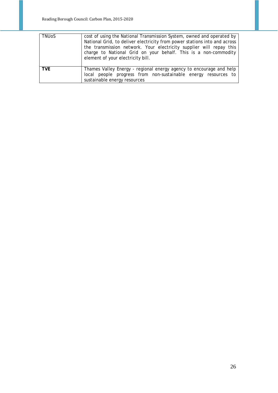| <b>TNUOS</b> | cost of using the National Transmission System, owned and operated by<br>National Grid, to deliver electricity from power stations into and across<br>the transmission network. Your electricity supplier will repay this<br>charge to National Grid on your behalf. This is a non-commodity<br>element of your electricity bill. |  |  |  |  |  |
|--------------|-----------------------------------------------------------------------------------------------------------------------------------------------------------------------------------------------------------------------------------------------------------------------------------------------------------------------------------|--|--|--|--|--|
| TVF          | Thames Valley Energy - regional energy agency to encourage and help<br>local people progress from non-sustainable energy resources to<br>sustainable energy resources                                                                                                                                                             |  |  |  |  |  |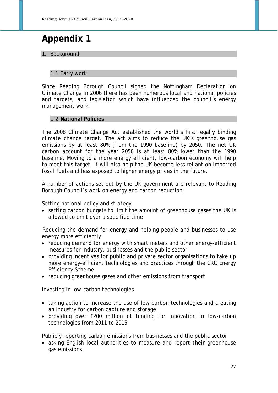### **Appendix 1**

1. Background

#### 1.1.Early work

Since Reading Borough Council signed the Nottingham Declaration on Climate Change in 2006 there has been numerous local and national policies and targets, and legislation which have influenced the council's energy management work.

#### 1.2.**National Policies**

The 2008 Climate Change Act established the world's first legally binding climate change target. The act aims to reduce the UK's greenhouse gas emissions by at least 80% (from the 1990 baseline) by 2050. The net UK carbon account for the year 2050 is at least 80% lower than the 1990 baseline. Moving to a more energy efficient, low-carbon economy will help to meet this target. It will also help the UK become less reliant on imported fossil fuels and less exposed to higher energy prices in the future.

A number of actions set out by the UK government are relevant to Reading Borough Council's work on energy and carbon reduction;

Setting national policy and strategy

• setting carbon budgets to limit the amount of greenhouse gases the UK is allowed to emit over a specified time

Reducing the demand for energy and helping people and businesses to use energy more efficiently

- reducing demand for energy with smart meters and other energy-efficient measures for industry, businesses and the public sector
- providing incentives for public and private sector organisations to take up more energy-efficient technologies and practices through the CRC Energy Efficiency Scheme
- reducing greenhouse gases and other emissions from transport

Investing in low-carbon technologies

- taking action to increase the use of low-carbon technologies and creating an industry for carbon capture and storage
- providing over £200 million of funding for innovation in low-carbon technologies from 2011 to 2015

Publicly reporting carbon emissions from businesses and the public sector

• asking English local authorities to measure and report their greenhouse gas emissions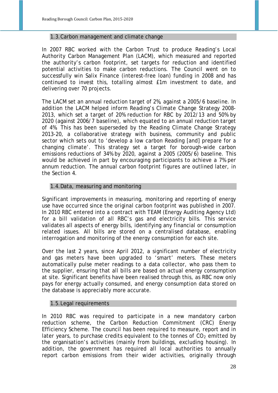#### 1.3.Carbon management and climate change

In 2007 RBC worked with the Carbon Trust to produce Reading's Local Authority Carbon Management Plan (LACM), which measured and reported the authority's carbon footprint, set targets for reduction and identified potential activities to make carbon reductions. The Council went on to successfully win Salix Finance (interest-free loan) funding in 2008 and has continued to invest this, totalling almost £1m investment to date, and delivering over 70 projects.

The LACM set an annual reduction target of 2%, against a 2005/6 baseline. In addition the LACM helped inform Reading's Climate Change Strategy 2008- 2013, which set a target of 20% reduction for RBC by 2012/13 and 50% by 2020 (against 2006/7 baseline), which equated to an annual reduction target of 4%. This has been superseded by the Reading Climate Change Strategy 2013-20, a collaborative strategy with business, community and public sector which sets out to 'develop a low carbon Reading [and] prepare for a changing climate'. This strategy set a target for borough-wide carbon emissions reductions of 34% by 2020, against a 2005 (2005/6) baseline. This would be achieved in part by encouraging participants to achieve a 7% per annum reduction. The annual carbon footprint figures are outlined later, in the Section 4.

#### 1.4.Data, measuring and monitoring

Significant improvements in measuring, monitoring and reporting of energy use have occurred since the original carbon footprint was published in 2007. In 2010 RBC entered into a contract with TEAM (Energy Auditing Agency Ltd) for a bill validation of all RBC's gas and electricity bills. This service validates all aspects of energy bills, identifying any financial or consumption related issues. All bills are stored on a centralised database, enabling interrogation and monitoring of the energy consumption for each site.

Over the last 2 years, since April 2012, a significant number of electricity and gas meters have been upgraded to 'smart' meters. These meters automatically pulse meter readings to a data collector, who pass them to the supplier, ensuring that all bills are based on actual energy consumption at site. Significant benefits have been realised through this, as RBC now only pays for energy actually consumed, and energy consumption data stored on the database is appreciably more accurate.

#### 1.5.Legal requirements

In 2010 RBC was required to participate in a new mandatory carbon reduction scheme, the Carbon Reduction Commitment (CRC) Energy Efficiency Scheme. The council has been required to measure, report and in later years, to purchase credits equivalent to the tonnes of  $CO<sub>2</sub>$  emitted by the organisation's activities (mainly from buildings, excluding housing). In addition, the government has required all local authorities to annually report carbon emissions from their wider activities, originally through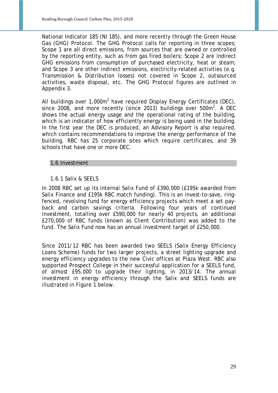National Indicator 185 (NI 185), and more recently through the Green House Gas (GHG) Protocol. The GHG Protocol calls for reporting in three scopes; Scope 1 are all direct emissions, from sources that are owned or controlled by the reporting entity, such as from gas fired boilers; Scope 2 are indirect GHG emissions from consumption of purchased electricity, heat or steam; and Scope 3 are other indirect emissions, electricity-related activities (e.g. Transmission & Distribution losses) not covered in Scope 2, outsourced activities, waste disposal, etc. The GHG Protocol figures are outlined in Appendix 3.

All buildings over 1,000m<sup>2</sup> have required Display Energy Certificates (DEC), since 2008, and more recently (since 2013) buildings over 500 $m^2$ . A DEC shows the actual energy usage and the operational rating of the building, which is an indicator of how efficiently energy is being used in the building. In the first year the DEC is produced, an Advisory Report is also required, which contains recommendations to improve the energy performance of the building. RBC has 25 corporate sites which require certificates, and 39 schools that have one or more DEC.

#### 1.6.Investment

#### 1.6.1 Salix & SEELS

In 2008 RBC set up its internal Salix Fund of £390,000 (£195k awarded from Salix Finance and £195k RBC match funding). This is an invest-to-save, ringfenced, revolving fund for energy efficiency projects which meet a set payback and carbon savings criteria. Following four years of continued investment, totalling over £590,000 for nearly 40 projects, an additional £270,000 of RBC funds (known as Client Contribution) was added to the fund. The Salix Fund now has an annual investment target of £250,000.

Since 2011/12 RBC has been awarded two SEELS (Salix Energy Efficiency Loans Scheme) funds for two larger projects, a street lighting upgrade and energy efficiency upgrades to the new Civic offices at Plaza West. RBC also supported Prospect College in their successful application for a SEELS fund, of almost £95,000 to upgrade their lighting, in 2013/14. The annual investment in energy efficiency through the Salix and SEELS funds are illustrated in Figure 1 below.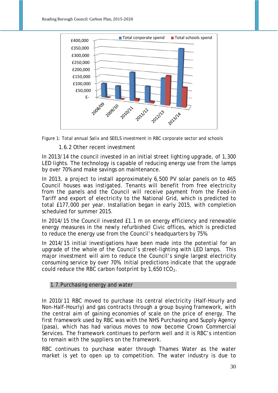



1.6.2 Other recent investment

In 2013/14 the council invested in an initial street lighting upgrade, of 1,300 LED lights. The technology is capable of reducing energy use from the lamps by over 70% and make savings on maintenance.

In 2013, a project to install approximately 6,500 PV solar panels on to 465 Council houses was instigated. Tenants will benefit from free electricity from the panels and the Council will receive payment from the Feed-in Tariff and export of electricity to the National Grid, which is predicted to total £177,000 per year. Installation began in early 2015, with completion scheduled for summer 2015.

In 2014/15 the Council invested £1.1 m on energy efficiency and renewable energy measures in the newly refurbished Civic offices, which is predicted to reduce the energy use from the Council's headquarters by 75%.

In 2014/15 initial investigations have been made into the potential for an upgrade of the whole of the Council's street-lighting with LED lamps. This major investment will aim to reduce the Council's single largest electricity consuming service by over 70%. Initial predictions indicate that the upgrade could reduce the RBC carbon footprint by  $1,650$  tCO<sub>2</sub>.

#### 1.7.Purchasing energy and water

In 2010/11 RBC moved to purchase its central electricity (Half-Hourly and Non-Half-Hourly) and gas contracts through a group buying framework, with the central aim of gaining economies of scale on the price of energy. The first framework used by RBC was with the NHS Purchasing and Supply Agency (pasa), which has had various moves to now become Crown Commercial Services. The framework continues to perform well and it is RBC's intention to remain with the suppliers on the framework.

RBC continues to purchase water through Thames Water as the water market is yet to open up to competition. The water industry is due to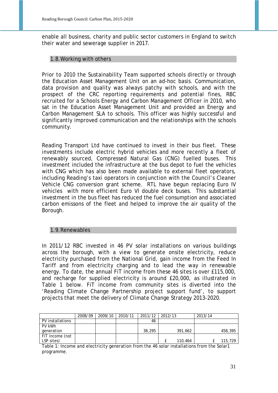enable all business, charity and public sector customers in England to switch their water and sewerage supplier in 2017.

#### 1.8.Working with others

Prior to 2010 the Sustainability Team supported schools directly or through the Education Asset Management Unit on an ad-hoc basis. Communication, data provision and quality was always patchy with schools, and with the prospect of the CRC reporting requirements and potential fines, RBC recruited for a Schools Energy and Carbon Management Officer in 2010, who sat in the Education Asset Management Unit and provided an Energy and Carbon Management SLA to schools. This officer was highly successful and significantly improved communication and the relationships with the schools community.

Reading Transport Ltd have continued to invest in their bus fleet. These investments include electric hybrid vehicles and more recently a fleet of renewably sourced, Compressed Natural Gas (CNG) fuelled buses. This investment included the infrastructure at the bus depot to fuel the vehicles with CNG which has also been made available to external fleet operators, including Reading's taxi operators in conjunction with the Council's Cleaner Vehicle CNG conversion grant scheme. RTL have begun replacing Euro IV vehicles with more efficient Euro VI double deck buses. This substantial investment in the bus fleet has reduced the fuel consumption and associated carbon emissons of the fleet and helped to improve the air quality of the Borough.

#### 1.9.Renewables

In 2011/12 RBC invested in 46 PV solar installations on various buildings across the borough, with a view to generate onsite electricity, reduce electricity purchased from the National Grid, gain income from the Feed In Tariff and from electricity charging and to lead the way in renewable energy. To date, the annual FiT income from these 46 sites is over £115,000, and recharge for supplied electricity is around £20,000, as illustrated in Table 1 below. FiT income from community sites is diverted into the 'Reading Climate Change Partnership project support fund', to support projects that meet the delivery of Climate Change Strategy 2013-2020.

|                  | 2008/09 | 2009/10 | 2010/11 | 2011/12 | 2012/13 | 2013/14 |         |
|------------------|---------|---------|---------|---------|---------|---------|---------|
| PV installations |         |         |         | 46      |         |         |         |
| PV kWh           |         |         |         |         |         |         |         |
| generation       |         |         |         | 38,295  | 391,662 |         | 458,395 |
| FiT income (not  |         |         |         |         |         |         |         |
| LSP sites)       |         |         |         |         | 110,464 |         | 115,729 |

Table 1: Income and electricity generation from the 46 solar installations from the Solar1 programme.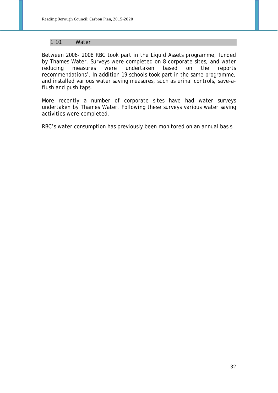#### 1.10. Water

Between 2006- 2008 RBC took part in the Liquid Assets programme, funded by Thames Water. Surveys were completed on 8 corporate sites, and water reducing measures were undertaken based on the reports recommendations'. In addition 19 schools took part in the same programme, and installed various water saving measures, such as urinal controls, save-aflush and push taps.

More recently a number of corporate sites have had water surveys undertaken by Thames Water. Following these surveys various water saving activities were completed.

RBC's water consumption has previously been monitored on an annual basis.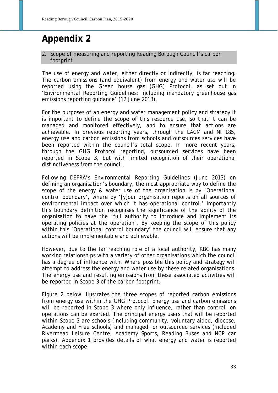### **Appendix 2**

#### 2. Scope of measuring and reporting Reading Borough Council's carbon footprint

The use of energy and water, either directly or indirectly, is far reaching. The carbon emissions (and equivalent) from energy and water use will be reported using the Green house gas (GHG) Protocol, as set out in 'Environmental Reporting Guidelines: including mandatory greenhouse gas emissions reporting guidance' (12 June 2013).

For the purposes of an energy and water management policy and strategy it is important to define the scope of this resource use, so that it can be managed and monitored effectively, and to ensure that actions are achievable. In previous reporting years, through the LACM and NI 185, energy use and carbon emissions from schools and outsources services have been reported within the council's total scope. In more recent years, through the GHG Protocol reporting, outsourced services have been reported in Scope 3, but with limited recognition of their operational distinctiveness from the council.

Following DEFRA's Environmental Reporting Guidelines (June 2013) on defining an organisation's boundary, the most appropriate way to define the scope of the energy & water use of the organisation is by 'Operational control boundary', where by '[y]our organisation reports on all sources of environmental impact over which it has operational control.' Importantly this boundary definition recognises the significance of the ability of the organisation to have the 'full authority to introduce and implement its operating policies at the operation'. By keeping the scope of this policy within this 'Operational control boundary' the council will ensure that any actions will be implementable and achievable.

However, due to the far reaching role of a local authority, RBC has many working relationships with a variety of other organisations which the council has a degree of influence with. Where possible this policy and strategy will attempt to address the energy and water use by these related organisations. The energy use and resulting emissions from these associated activities will be reported in Scope 3 of the carbon footprint.

Figure 2 below illustrates the three scopes of reported carbon emissions from energy use within the GHG Protocol. Energy use and carbon emissions will be reported in Scope 3 where only influence, rather than control, on operations can be exerted. The principal energy users that will be reported within Scope 3 are schools (including community, voluntary aided, diocese, Academy and Free schools) and managed, or outsourced services (included Rivermead Leisure Centre, Academy Sports, Reading Buses and NCP car parks). Appendix 1 provides details of what energy and water is reported within each scope.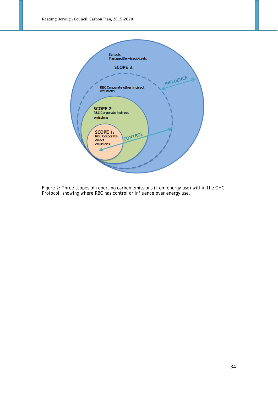

Figure 2: Three scopes of reporting carbon emissions (from energy use) within the GHG Protocol, showing where RBC has control or influence over energy use.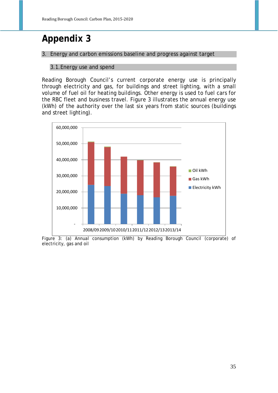### **Appendix 3**

3. Energy and carbon emissions baseline and progress against target

#### 3.1.Energy use and spend

Reading Borough Council's current corporate energy use is principally through electricity and gas, for buildings and street lighting, with a small volume of fuel oil for heating buildings. Other energy is used to fuel cars for the RBC fleet and business travel. Figure 3 illustrates the annual energy use (kWh) of the authority over the last six years from static sources (buildings and street lighting).



Figure 3: (a) Annual consumption (kWh) by Reading Borough Council (corporate) of electricity, gas and oil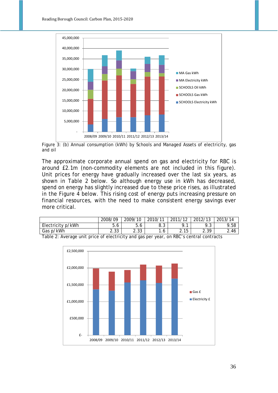

Figure 3: (b) Annual consumption (kWh) by Schools and Managed Assets of electricity, gas and oil

The approximate corporate annual spend on gas and electricity for RBC is around £2.1m (non-commodity elements are not included in this figure). Unit prices for energy have gradually increased over the last six years, as shown in Table 2 below. So although energy use in kWh has decreased, spend on energy has slightly increased due to these price rises, as illustrated in the Figure 4 below. This rising cost of energy puts increasing pressure on financial resources, with the need to make consistent energy savings ever more critical.

|                                                                                        | 2008/09 | 2009/10      | 2010/11 | 2011/12 | 2012/13 | 2013/14 |  |  |
|----------------------------------------------------------------------------------------|---------|--------------|---------|---------|---------|---------|--|--|
| Electricity p/kWh                                                                      | 5.6     | 5.6          | 8.3     |         |         | 9.58    |  |  |
| Gas p/kWh                                                                              | 2.33    | າາາ<br>دد. ∠ |         | 2.15    | 2.39    | 2.46    |  |  |
| Table 2. Average unit price of cleatricity and gee ner veer, on DDCs control contracts |         |              |         |         |         |         |  |  |



Table 2: Average unit price of electricity and gas per year, on RBC's central contracts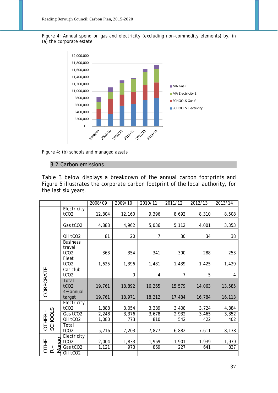Figure 4: Annual spend on gas and electricity (excluding non-commodity elements) by, in (a) the corporate estate



Figure 4: (b) schools and managed assets

#### 3.2.Carbon emissions

Table 3 below displays a breakdown of the annual carbon footprints and Figure 5 illustrates the corporate carbon footprint of the local authority, for the last six years.

|                                 |                                 | 2008/09 | 2009/10 | 2010/11 | 2011/12 | 2012/13 | 2013/14 |
|---------------------------------|---------------------------------|---------|---------|---------|---------|---------|---------|
|                                 | Electricity<br>tCO <sub>2</sub> | 12,804  | 12,160  | 9,396   | 8,692   | 8,310   | 8,508   |
|                                 | Gas tCO2                        | 4,888   | 4,962   | 5,036   | 5,112   | 4,001   | 3,353   |
|                                 | Oil tCO <sub>2</sub>            | 81      | 20      | 7       | 30      | 34      | 38      |
|                                 | <b>Business</b><br>travel       |         |         |         |         |         |         |
|                                 | tCO <sub>2</sub>                | 363     | 354     | 341     | 300     | 288     | 253     |
|                                 | Fleet<br>tCO <sub>2</sub>       | 1,625   | 1,396   | 1,481   | 1,439   | 1,425   | 1,429   |
|                                 | Car club<br>tCO <sub>2</sub>    |         | 0       | 4       | 7       | 5       | 4       |
| CORPORATE                       | Total<br>tCO <sub>2</sub>       | 19,761  | 18,892  | 16,265  | 15,579  | 14,063  | 13,585  |
|                                 | 4% annual<br>target             | 19,761  | 18,971  | 18,212  | 17,484  | 16,784  | 16,113  |
|                                 | Electricity                     |         |         |         |         |         |         |
|                                 | tCO <sub>2</sub>                | 1,888   | 3,054   | 3,389   | 3,408   | 3,724   | 4,384   |
|                                 | Gas tCO <sub>2</sub>            | 2,248   | 3,376   | 3,678   | 2,932   | 3,465   | 3,352   |
|                                 | Oil tCO <sub>2</sub>            | 1,080   | 773     | 810     | 542     | 422     | 402     |
| OTHER -<br>SCHOOLS              | Total<br>tCO <sub>2</sub>       | 5,216   | 7,203   | 7,877   | 6,882   | 7,611   | 8,138   |
| ag                              | Electricity<br>tCO <sub>2</sub> | 2,004   | 1,833   | 1,969   | 1,901   | 1,939   | 1,939   |
| OTHE<br>$\bar{\mathbf{\sigma}}$ | Gas tCO2                        | 1,121   | 973     | 869     | 227     | 641     | 837     |
| M<br>$\propto$                  | Oil tCO <sub>2</sub>            |         |         |         |         |         |         |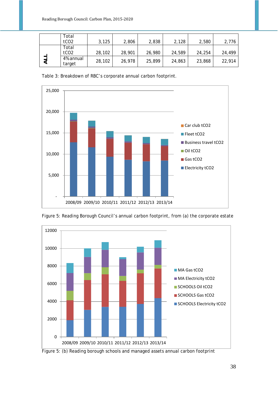|   | Total<br>tCO <sub>2</sub> | 3,125  | 2,806  | 2,838  | 2,128  | 2,580  | 2,776  |
|---|---------------------------|--------|--------|--------|--------|--------|--------|
|   | Total<br>tCO <sub>2</sub> | 28,102 | 28,901 | 26,980 | 24,589 | 24,254 | 24,499 |
| ⋜ | 4% annual<br>target       | 28,102 | 26,978 | 25,899 | 24,863 | 23,868 | 22,914 |

Table 3: Breakdown of RBC's corporate annual carbon footprint.





Figure 5: Reading Borough Council's annual carbon footprint, from (a) the corporate estate

Figure 5: (b) Reading borough schools and managed assets annual carbon footprint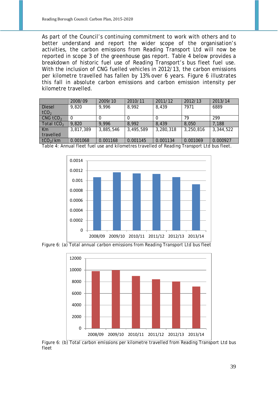As part of the Council's continuing commitment to work with others and to better understand and report the wider scope of the organisation's activities, the carbon emissions from Reading Transport Ltd will now be reported in scope 3 of the greenhouse gas report. Table 4 below provides a breakdown of historic fuel use of Reading Transport's bus fleet fuel use. With the inclusion of CNG fuelled vehicles in 2012/13, the carbon emissions per kilometre travelled has fallen by 13% over 6 years. Figure 6 illustrates this fall in absolute carbon emissions and carbon emission intensity per kilometre travelled.

|                        | 2008/09   | 2009/10   | 2010/11   | 2011/12   | 2012/13   | 2013/14   |
|------------------------|-----------|-----------|-----------|-----------|-----------|-----------|
| <b>Diesel</b>          | 9,820     | 9,996     | 8,992     | 8,439     | 7971      | 6889      |
| tCO <sub>2</sub>       |           |           |           |           |           |           |
| $CNG$ tCO <sub>2</sub> |           | 0         |           |           | 79        | 299       |
| Total $tCO2$           | 9,820     | 9,996     | 8,992     | 8,439     | 8,050     | 7,188     |
| Km                     | 3,817,389 | 3,885,546 | 3,495,589 | 3,280,318 | 3,250,816 | 3,344,522 |
| travelled              |           |           |           |           |           |           |
| tCO <sub>2</sub> /km   | 0.001068  | 0.001168  | 0.001145  | 0.001134  | 0.001069  | 0.000927  |

Table 4: Annual fleet fuel use and kilometres travelled of Reading Transport Ltd bus fleet.



Figure 6: (a) Total annual carbon emissions from Reading Transport Ltd bus fleet



Figure 6: (b) Total carbon emissions per kilometre travelled from Reading Transport Ltd bus fleet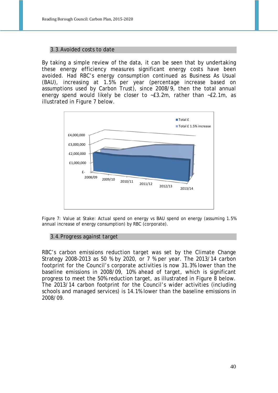#### 3.3.Avoided costs to date

By taking a simple review of the data, it can be seen that by undertaking these energy efficiency measures significant energy costs have been avoided. Had RBC's energy consumption continued as Business As Usual (BAU), increasing at 1.5% per year (percentage increase based on assumptions used by Carbon Trust), since 2008/9, then the total annual energy spend would likely be closer to ~£3.2m, rather than ~£2.1m, as illustrated in Figure 7 below.



Figure 7: Value at Stake: Actual spend on energy vs BAU spend on energy (assuming 1.5% annual increase of energy consumption) by RBC (corporate).

#### 3.4.Progress against target

RBC's carbon emissions reduction target was set by the Climate Change Strategy 2008-2013 as 50 % by 2020, or 7 % per year. The 2013/14 carbon footprint for the Council's corporate activities is now 31.3% lower than the baseline emissions in 2008/09, 10% ahead of target, which is significant progress to meet the 50% reduction target, as illustrated in Figure 8 below. The 2013/14 carbon footprint for the Council's wider activities (including schools and managed services) is 14.1% lower than the baseline emissions in 2008/09.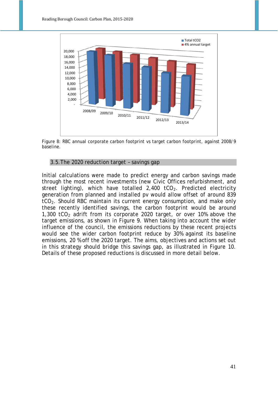

Figure 8: RBC annual corporate carbon footprint vs target carbon footprint, against 2008/9 baseline.

#### 3.5.The 2020 reduction target – savings gap

Initial calculations were made to predict energy and carbon savings made through the most recent investments (new Civic Offices refurbishment, and street lighting), which have totalled  $2,400$  tCO<sub>2</sub>. Predicted electricity generation from planned and installed pv would allow offset of around 839 tCO<sub>2</sub>. Should RBC maintain its current energy consumption, and make only these recently identified savings, the carbon footprint would be around 1,300 tCO<sub>2</sub> adrift from its corporate 2020 target, or over 10% above the target emissions, as shown in Figure 9. When taking into account the wider influence of the council, the emissions reductions by these recent projects would see the wider carbon footprint reduce by 30% against its baseline emissions, 20 % off the 2020 target. The aims, objectives and actions set out in this strategy should bridge this savings gap, as illustrated in Figure 10. Details of these proposed reductions is discussed in more detail below.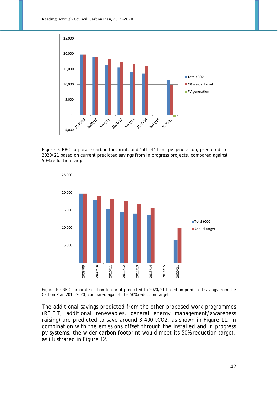

Figure 9: RBC corporate carbon footprint, and 'offset' from pv generation, predicted to 2020/21 based on current predicted savings from in progress projects, compared against 50% reduction target.



Figure 10: RBC corporate carbon footprint predicted to 2020/21 based on predicted savings from the Carbon Plan 2015-2020, compared against the 50% reduction target.

The additional savings predicted from the other proposed work programmes (RE:FIT, additional renewables, general energy management/awareness raising) are predicted to save around 3,400 tCO2, as shown in Figure 11. In combination with the emissions offset through the installed and in progress pv systems, the wider carbon footprint would meet its 50% reduction target, as illustrated in Figure 12.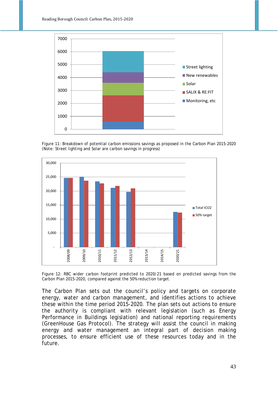

Figure 11: Breakdown of potential carbon emissions savings as proposed in the Carbon Plan 2015-2020 (Note: Street lighting and Solar are carbon savings in progress)



Figure 12: RBC wider carbon footprint predicted to 2020/21 based on predicted savings from the Carbon Plan 2015-2020, compared against the 50% reduction target.

The Carbon Plan sets out the council's policy and targets on corporate energy, water and carbon management, and identifies actions to achieve these within the time period 2015-2020. The plan sets out actions to ensure the authority is compliant with relevant legislation (such as Energy Performance in Buildings legislation) and national reporting requirements (GreenHouse Gas Protocol). The strategy will assist the council in making energy and water management an integral part of decision making processes, to ensure efficient use of these resources today and in the future.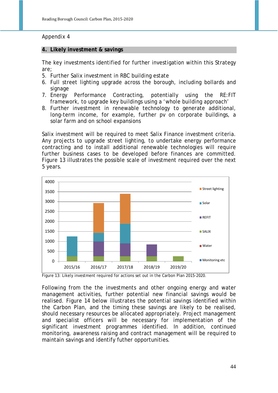#### Appendix 4

#### **4. Likely investment & savings**

The key investments identified for further investigation within this Strategy are;

- 5. Further Salix investment in RBC building estate
- 6. Full street lighting upgrade across the borough, including bollards and signage
- 7. Energy Performance Contracting, potentially using the RE:FIT framework, to upgrade key buildings using a 'whole building approach'
- 8. Further investment in renewable technology to generate additional, long-term income, for example, further pv on corporate buildings, a solar farm and on school expansions

Salix investment will be required to meet Salix Finance investment criteria. Any projects to upgrade street lighting, to undertake energy performance contracting and to install additional renewable technologies will require further business cases to be developed before finances are committed. Figure 13 illustrates the possible scale of investment required over the next 5 years.



Figure 13: Likely investment required for actions set out in the Carbon Plan 2015-2020.

Following from the the investments and other ongoing energy and water management activities, further potential new financial savings would be realised. Figure 14 below illustrates the potential savings identified within the Carbon Plan, and the timing these savings are likely to be realised, should necessary resources be allocated appropriately. Project management and specialist officers will be necessary for implementation of the significant investment programmes identified. In addition, continued monitoring, awareness raising and contract management will be required to maintain savings and identify futher opportunities.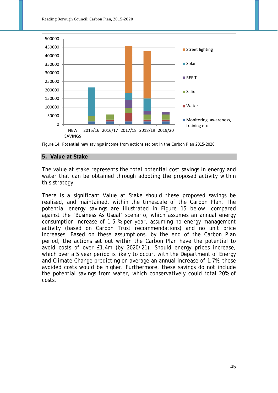

Figure 14: Potential new savings/income from actions set out in the Carbon Plan 2015-2020.

#### **5. Value at Stake**

The value at stake represents the total potential cost savings in energy and water that can be obtained through adopting the proposed activity within this strategy.

There is a significant Value at Stake should these proposed savings be realised, and maintained, within the timescale of the Carbon Plan. The potential energy savings are illustrated in Figure 15 below, compared against the 'Business As Usual' scenario, which assumes an annual energy consumption increase of 1.5 % per year, assuming no energy management activity (based on Carbon Trust recommendations) and no unit price increases. Based on these assumptions, by the end of the Carbon Plan period, the actions set out within the Carbon Plan have the potential to avoid costs of over £1.4m (by 2020/21). Should energy prices increase, which over a 5 year period is likely to occur, with the Department of Energy and Climate Change predicting on average an annual increase of 1.7%, these avoided costs would be higher. Furthermore, these savings do not include the potential savings from water, which conservatively could total 20% of costs.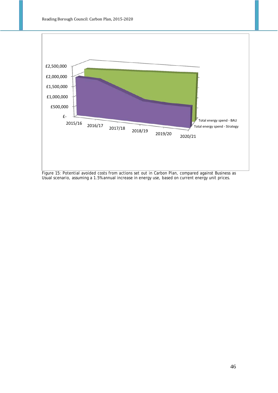

Figure 15: Potential avoided costs from actions set out in Carbon Plan, compared against Business as Usual scenario, assuming a 1.5% annual increase in energy use, based on current energy unit prices.